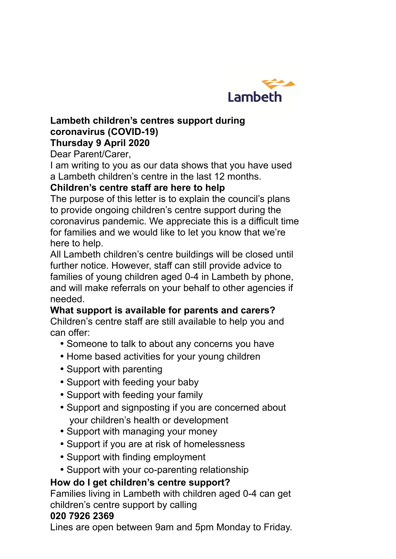

#### **Lambeth children's centres support during coronavirus (COVID-19) Thursday 9 April 2020**

Dear Parent/Carer,

I am writing to you as our data shows that you have used a Lambeth children's centre in the last 12 months.

## **Children's centre staff are here to help**

The purpose of this letter is to explain the council's plans to provide ongoing children's centre support during the coronavirus pandemic. We appreciate this is a difficult time for families and we would like to let you know that we're here to help.

All Lambeth children's centre buildings will be closed until further notice. However, staff can still provide advice to families of young children aged 0-4 in Lambeth by phone, and will make referrals on your behalf to other agencies if needed.

# **What support is available for parents and carers?**

Children's centre staff are still available to help you and can offer:

- Someone to talk to about any concerns you have
- Home based activities for your young children
- Support with parenting
- Support with feeding your baby
- Support with feeding your family
- Support and signposting if you are concerned about your children's health or development
- Support with managing your money
- Support if you are at risk of homelessness
- Support with finding employment
- Support with your co-parenting relationship

## **How do I get children's centre support?**

Families living in Lambeth with children aged 0-4 can get children's centre support by calling

#### **020 7926 2369**

Lines are open between 9am and 5pm Monday to Friday.